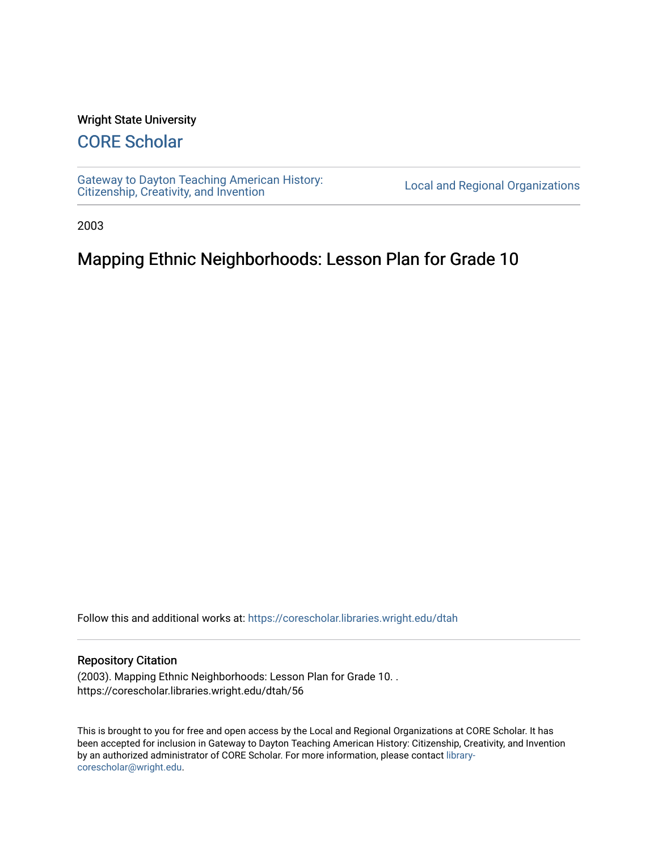#### Wright State University

## [CORE Scholar](https://corescholar.libraries.wright.edu/)

[Gateway to Dayton Teaching American History:](https://corescholar.libraries.wright.edu/dtah)  Gateway to Dayton Teaching American History.<br>[Citizenship, Creativity, and Invention](https://corescholar.libraries.wright.edu/dtah) Local and Regional Organizations

2003

# Mapping Ethnic Neighborhoods: Lesson Plan for Grade 10

Follow this and additional works at: [https://corescholar.libraries.wright.edu/dtah](https://corescholar.libraries.wright.edu/dtah?utm_source=corescholar.libraries.wright.edu%2Fdtah%2F56&utm_medium=PDF&utm_campaign=PDFCoverPages)

#### Repository Citation

(2003). Mapping Ethnic Neighborhoods: Lesson Plan for Grade 10. . https://corescholar.libraries.wright.edu/dtah/56

This is brought to you for free and open access by the Local and Regional Organizations at CORE Scholar. It has been accepted for inclusion in Gateway to Dayton Teaching American History: Citizenship, Creativity, and Invention by an authorized administrator of CORE Scholar. For more information, please contact [library](mailto:library-corescholar@wright.edu)[corescholar@wright.edu](mailto:library-corescholar@wright.edu).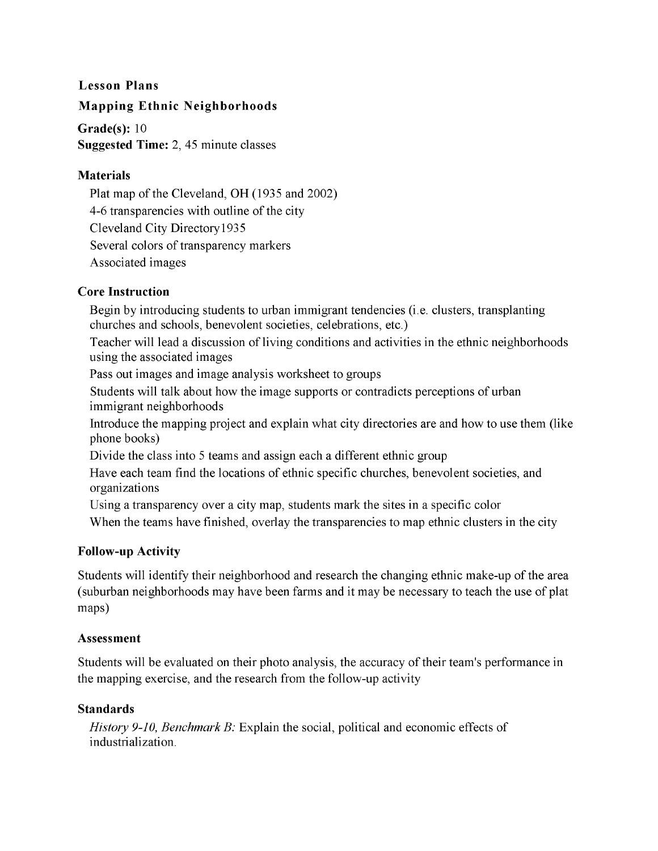### **Lesson Plans**

#### **Mapping Ethnic Neighborhoods**

**Grade(s):** 10 **Suggested Time:** 2, 45 minute classes

#### **Materials**

Plat map of the Cleveland, OH (1935 and 2002) 4-6 transparencies with outline of the city Cleveland City Directory 1935 Several colors of transparency markers Associated images

#### **Core Instruction**

Begin by introducing students to urban immigrant tendencies (i.e. clusters, transplanting churches and schools, benevolent societies, celebrations, etc.)

Teacher will lead a discussion of living conditions and activities in the ethnic neighborhoods using the associated images

Pass out images and image analysis worksheet to groups

Students will talk about how the image supports or contradicts perceptions of urban immigrant neighborhoods

Introduce the mapping project and explain what city directories are and how to use them (like phone books)

Divide the class into 5 teams and assign each a different ethnic group

Have each team find the locations of ethnic specific churches, benevolent societies, and organizations

Using a transparency over a city map, students mark the sites in a specific color

When the teams have finished, overlay the transparencies to map ethnic clusters in the city

### **Follow-up Activity**

Students will identify their neighborhood and research the changing ethnic make-up of the area (suburban neighborhoods may have been farms and it may be necessary to teach the use of plat maps)

#### **Assessment**

Students will be evaluated on their photo analysis, the accuracy of their team's performance in the mapping exercise, and the research from the follow-up activity

#### **Standards**

*History 9-10, Benchmark B:* Explain the social, political and economic effects of industrialization.